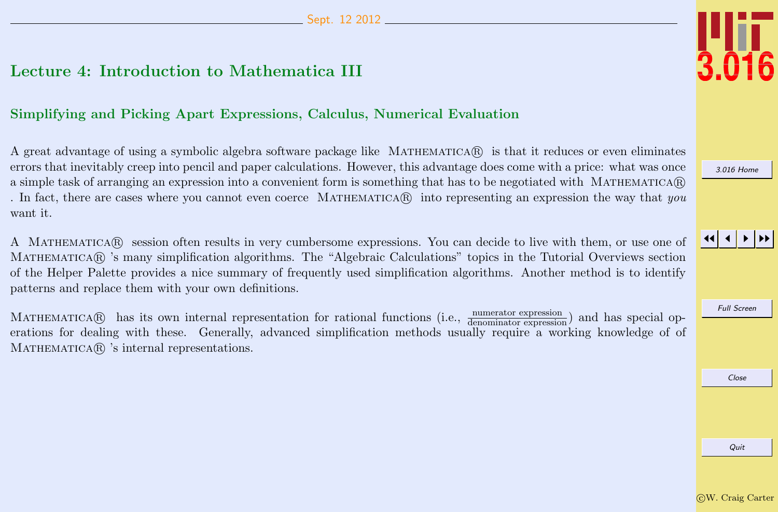## <span id="page-0-0"></span>Lecture 4: Introduction to Mathematica III

## Simplifying and Picking Apart Expressions, Calculus, Numerical Evaluation

A great advantage of using a symbolic algebra software package like MATHEMATICAR is that it reduces or even eliminates errors that inevitably creep into pencil and paper calculations. However, this advantage does come with a price: what was once a simple task of arranging an expression into a convenient form is something that has to be negotiated with MATHEMATICA $\mathbb{R}$ . In fact, there are cases where you cannot even coerce MATHEMATICA $\mathbb{R}$  into representing an expression the way that you want it.

A MATHEMATICAR session often results in very cumbersome expressions. You can decide to live with them, or use one of MATHEMATICAR 's many simplification algorithms. The "Algebraic Calculations" topics in the Tutorial Overviews section of the Helper Palette provides a nice summary of frequently used simplification algorithms. Another method is to identify patterns and replace them with your own definitions.

MATHEMATICA® has its own internal representation for rational functions (i.e.,  $\frac{\text{numerator expression}}{\text{denominator expression}}$ ) and has special operations for dealing with these. Generally, advanced simplification methods usually require a working knowledge of of MATHEMATICA<sup>(R)</sup> 's internal representations.



[3.016 Home](http://pruffle.mit.edu/3.016-2012/)

## JJ J I II

Full Screen

Close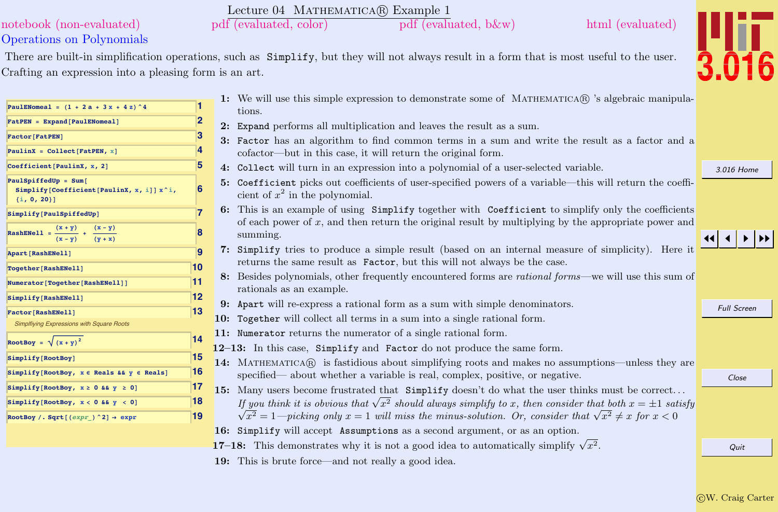### c W. Craig Carter

Quit

#### **PaulENomeal <sup>=</sup> <sup>H</sup><sup>1</sup> <sup>+</sup> <sup>2</sup> <sup>a</sup> <sup>+</sup> <sup>3</sup> <sup>x</sup> <sup>+</sup> <sup>4</sup> <sup>z</sup>L^4 1**  $P$ **PatPEN** = **Expand**  $[PaulENomea1]$ **Factor[FatPEN] 3**  $P$ aulinX =  $C$ ollect $[FAt$ PEN, x<sub>1</sub>  $\qquad$  **4 Coefficient**[PaulinX, x, 2] **6 Simplify@Coefficient@PaulinX, x, iDD x^i, 8implify**<sup>[PaulSpiffedUp]
<br> **Payment PaulSpiffedUp Payment Payment Payment Payment Payment Payment Payment Payment Payment Payment Payment Payment Payment Payment Payment Payment Paymen</sup> RashENell** =  $\frac{(x + y)}{(x - y)} + \frac{(x - y)}{(x - y)}$  $\frac{(x + y)}{(x - y)} + \frac{(x - y)}{(y + x)}$ **<sup>H</sup><sup>y</sup> <sup>+</sup> <sup>x</sup><sup>L</sup> Apart[RashENell] 9**  $\frac{10}{2}$  $\blacksquare$ **Numerator**<sup>[</sup>Together<sup>[RashENell]]</sup> **Simplify@RashENell<sup>D</sup> 12 Factor[RashENell] 13** [Simplfiying Expressions with Square Roots](http://pruffle.mit.edu/3.016-2012/html/Lecture-04/HTMLLinks/index_1.html) **RootBoy =**  $\sqrt{(x+y)^2}$  **14**  $\frac{15}{2}$  $\text{Simplify}$  **[RootBoy,**  $x \in \text{Reals}$  &  $y \in \text{Reals}$ **] 16**  $\begin{bmatrix} \text{Simplify} [\text{RootBoy}, x \ge 0 \text{ && y \ge 0 \end{bmatrix}$  17  $Simplify[RootBoy, x < 0 & 0 & 0]$  18  $ext{RootBoy /}$ .  $\text{Sqrt}$   $(\text{expr}) \land 2$   $\rightarrow \text{expr}$  **19** 1: We will use this simple expression to demonstrate some of MATHEMATICA $\circledR$  's algebraic manipulations. 2: Expand performs all multiplication and leaves the result as a sum. 3: Factor has an algorithm to find common terms in a sum and write the result as a factor and a cofactor—but in this case, it will return the original form. 4: Collect will turn in an expression into a polynomial of a user-selected variable. 5: Coefficient picks out coefficients of user-specified powers of a variable—this will return the coefficient of  $x^2$  in the polynomial. 6: This is an example of using Simplify together with Coefficient to simplify only the coefficients of each power of x, and then return the original result by multiplying by the appropriate power and summing. 7: Simplify tries to produce a simple result (based on an internal measure of simplicity). Here it returns the same result as Factor, but this will not always be the case. 8: Besides polynomials, other frequently encountered forms are rational forms—we will use this sum of rationals as an example. 9: Apart will re-express a rational form as a sum with simple denominators. 10: Together will collect all terms in a sum into a single rational form. 11: Numerator returns the numerator of a single rational form. 12–13: In this case, Simplify and Factor do not produce the same form. 14: MATHEMATICA® is fastidious about simplifying roots and makes no assumptions—unless they are specified— about whether a variable is real, complex, positive, or negative. 15: Many users become frustrated that Simplify doesn't do what the user thinks must be correct. . . Many users become must also that Simplify doesn't do what the user thinks must be correct...<br>If you think it is obvious that  $\sqrt{x^2}$  should always simplify to x, then consider that both  $x = \pm 1$  satisfy you think it is obvious that  $\sqrt{x^2}$  should always simplify to x, then consider that  $\sqrt{x^2} \neq x$  for  $x < 0$ <br> $\frac{x^2}{a^2} = 1$ —picking only  $x = 1$  will miss the minus-solution. Or, consider that  $\sqrt{x^2} \neq x$  for  $x < 0$ 16: Simplify will accept Assumptions as a second argument, or as an option. 17–18: This demonstrates why it is not a good idea to automatically simplify  $\sqrt{x^2}$ .

### Lecture 04 MATHEMATICA(R) Example 1 [notebook \(non-evaluated\)](http://pruffle.mit.edu/3.016-2012/Notebooks/L04/Lecture-04.nb) [pdf \(evaluated, color\)](http://pruffle.mit.edu/3.016-2012/pdf/L04/Lecture-04-1-COL.pdf) [pdf \(evaluated, b&w\)](http://pruffle.mit.edu/3.016-2012/pdf/L04/Lecture-04-1-BW.pdf) [html \(evaluated\)](http://pruffle.mit.edu/3.016-2012/html/Lecture-04/HTMLLinks/index_1.html)

There are built-in simplification operations, such as Simplify, but they will not always result in a form that is most useful to the user.

19: This is brute force—and not really a good idea.

Crafting an expression into a pleasing form is an art.

Operations on Polynomials

 $PaulSpiffedUp = Sum$ 

 $\{i, 0, 20\}$ 

[3.016 Home](http://pruffle.mit.edu/3.016-2012/)

Full Screen

l 4 I

Close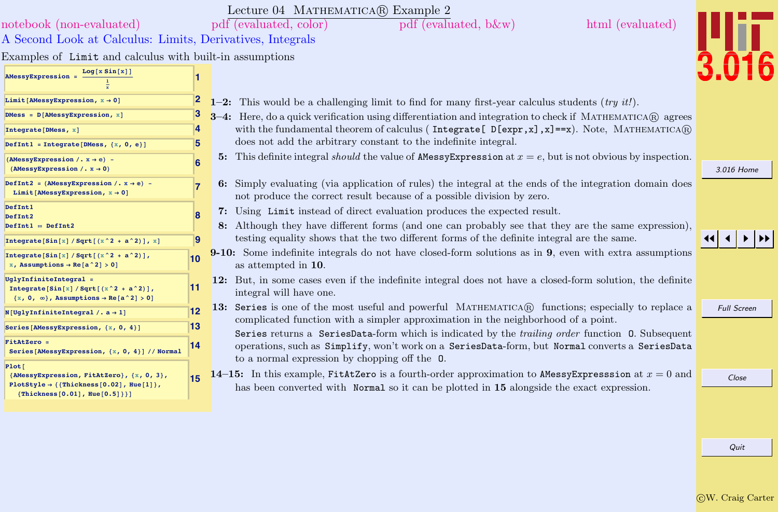|                                                                                                                                     |    | Lecture 04 MATHEMATICA(R) Example 2                                                                                                                                                                        |                    |
|-------------------------------------------------------------------------------------------------------------------------------------|----|------------------------------------------------------------------------------------------------------------------------------------------------------------------------------------------------------------|--------------------|
| notebook (non-evaluated)                                                                                                            |    | pdf (evaluated, color)<br>html (evaluated)<br>pdf (evaluated, b&w)                                                                                                                                         |                    |
| A Second Look at Calculus: Limits, Derivatives, Integrals                                                                           |    |                                                                                                                                                                                                            |                    |
| Examples of Limit and calculus with built-in assumptions                                                                            |    |                                                                                                                                                                                                            |                    |
| Log[x Sin[x]]<br><b>AMessyExpression =</b>                                                                                          |    |                                                                                                                                                                                                            |                    |
| Limit [AMessyExpression, $x \rightarrow 0$ ]                                                                                        |    | 1-2: This would be a challenging limit to find for many first-year calculus students $(try~it!)$ .                                                                                                         |                    |
| DMess = $D[AMessyExpression, x]$                                                                                                    |    | 3-4: Here, do a quick verification using differentiation and integration to check if MATHEMATICA® agrees                                                                                                   |                    |
| Integrate [DMess, x]                                                                                                                | 4  | with the fundamental theorem of calculus (Integrate [D[expr, x], x]==x). Note, MATHEMATICA®                                                                                                                |                    |
| DefInt1 = Integrate [DMess, $\{x, 0, e\}$ ]                                                                                         | 5  | does not add the arbitrary constant to the indefinite integral.                                                                                                                                            |                    |
| (AMessyExpression /. $x \rightarrow e$ ) -<br>(AMessyExpression /. $x \rightarrow 0$ )                                              | 6  | 5: This definite integral <i>should</i> the value of <b>AMERIC EXPLES</b> and $x = e$ , but is not obvious by inspection.                                                                                  | 3.016 Home         |
| DefInt2 = (AMessyExpression /. $x \rightarrow e$ ) -<br>Limit [AMessyExpression, $x \rightarrow 0$ ]                                |    | 6: Simply evaluating (via application of rules) the integral at the ends of the integration domain does<br>not produce the correct result because of a possible division by zero.                          |                    |
| DefInt1<br>DefInt2                                                                                                                  |    | 7: Using Limit instead of direct evaluation produces the expected result.                                                                                                                                  |                    |
| DefInt1 == DefInt2                                                                                                                  |    | 8: Although they have different forms (and one can probably see that they are the same expression),                                                                                                        |                    |
| Integrate [Sin[x] / Sqrt [ $(x^2 + a^2)$ ], x]                                                                                      | 19 | testing equality shows that the two different forms of the definite integral are the same.                                                                                                                 |                    |
| Integrate [Sin[x] / Sqrt[ $(x^2 + a^2)$ ],<br>x, Assumptions $\rightarrow$ Re[a^2] > 0]                                             | 10 | 9-10: Some indefinite integrals do not have closed-form solutions as in 9, even with extra assumptions<br>as attempted in 10.                                                                              |                    |
| UglyInfiniteIntegral =<br>Integrate [Sin[x] / Sqrt[ $(x^2 + a^2)$ ],<br>$\{x, 0, \infty\}$ , Assumptions $\rightarrow$ Re[a^2] > 0] | 11 | 12: But, in some cases even if the indefinite integral does not have a closed-form solution, the definite<br>integral will have one.                                                                       |                    |
| $N[UglyInfiniteIntegral /. a \rightarrow 1]$                                                                                        | 12 | 13: Series is one of the most useful and powerful MATHEMATICA(R) functions; especially to replace a                                                                                                        | <b>Full Screen</b> |
| Series [AMessyExpression, {x, 0, 4}]                                                                                                | 13 | complicated function with a simpler approximation in the neighborhood of a point.                                                                                                                          |                    |
| FitAtZero =<br>Series [AMessyExpression, {x, 0, 4}] // Normal                                                                       | 14 | Series returns a SeriesData-form which is indicated by the <i>trailing order</i> function 0. Subsequent<br>operations, such as Simplify, won't work on a SeriesData-form, but Normal converts a SeriesData |                    |
| Plot[                                                                                                                               |    | to a normal expression by chopping off the 0.                                                                                                                                                              |                    |
| {AMessyExpression, FitAtZero}, {x, 0, 3},<br>PlotStyle $\rightarrow$ { {Thickness [0.02], Hue[1]},                                  |    | 14-15: In this example, FitAtZero is a fourth-order approximation to AMessy Expresssion at $x = 0$ and<br>has been converted with Normal so it can be plotted in 15 alongside the exact expression.        | Close              |
| ${Thickness[0.01], Hue[0.5]}\}$                                                                                                     |    |                                                                                                                                                                                                            |                    |
|                                                                                                                                     |    |                                                                                                                                                                                                            |                    |
|                                                                                                                                     |    |                                                                                                                                                                                                            |                    |

CW. Craig Carter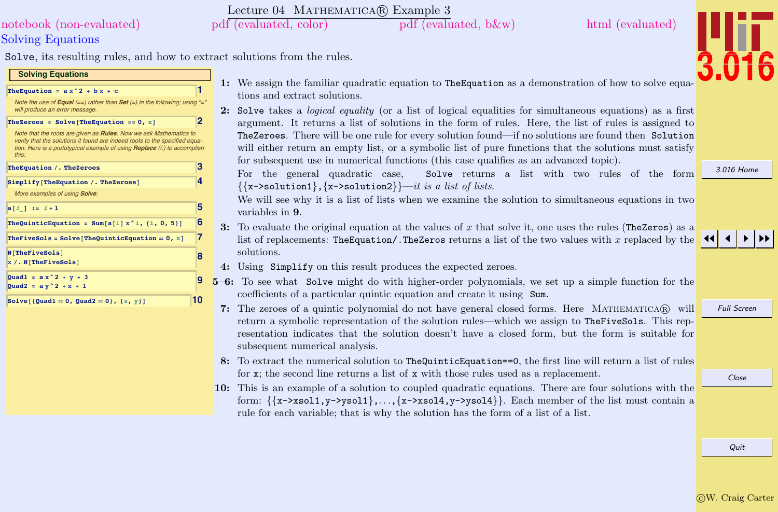#### c W. Craig Carter

Quit

## Solving Equations [notebook \(non-evaluated\)](http://pruffle.mit.edu/3.016-2012/Notebooks/L04/Lecture-04.nb) [pdf \(evaluated, color\)](http://pruffle.mit.edu/3.016-2012/pdf/L04/Lecture-04-3-COL.pdf) [pdf \(evaluated, b&w\)](http://pruffle.mit.edu/3.016-2012/pdf/L04/Lecture-04-3-BW.pdf) [html \(evaluated\)](http://pruffle.mit.edu/3.016-2012/html/Lecture-04/HTMLLinks/index_3.html)

Solve, its resulting rules, and how to extract solutions from the rules.

#### **Solving Equations**

### **The<br>Equation** =  $ax^2 + bx + c$ Note the use of  $\textbf{Equal} (= )$  rather than  $\textbf{Set} (= )$  in the following; using will produce an error message  $The \text{Zeroes} = \text{Solve}[\text{TheEquation} == 0, x]$ Note that the roots are given as **Rules**. Now we ask Mathematica to [verify that the solutions it found are indeed roots to the specified equa](http://pruffle.mit.edu/3.016-2012/html/Lecture-04/HTMLLinks/index_3.html)tion. Here is a prototypical example of using **Replace** (/.) to accomplish this: **TheEquation <sup>ê</sup>. TheZeroes 3 8implify[TheEquation** /. TheZeroes] More examples of using **Solve**: **<sup>a</sup>@<sup>i</sup>\_<sup>D</sup> :<sup>=</sup> <sup>i</sup> <sup>+</sup> <sup>1</sup> 5 TheQuinticEquation** =  $\text{Sum}[a[i] \times^i i, \{i, 0, 5\}]$  6 **TheFiveSols** =  $Solve[TheQuinticEquation = 0, x]$  7  $N$  [TheFiveSols]  $x / . N[The FiveSols]$ **9 Quad1 <sup>=</sup> <sup>a</sup> x^2 <sup>+</sup> <sup>y</sup> <sup>+</sup> <sup>3</sup> Quad2 = a y^2 + x + 1 Solve** $[$ **{Quad1**  $= 0$ **, Quad2**  $= 0$ }, {x, y}**1 10**

- 1: We assign the familiar quadratic equation to TheEquation as a demonstration of how to solve equations and extract solutions.
- 2: Solve takes a *logical equality* (or a list of logical equalities for simultaneous equations) as a first argument. It returns a list of solutions in the form of rules. Here, the list of rules is assigned to TheZeroes. There will be one rule for every solution found—if no solutions are found then Solution will either return an empty list, or a symbolic list of pure functions that the solutions must satisfy for subsequent use in numerical functions (this case qualifies as an advanced topic).

For the general quadratic case, Solve returns a list with two rules of the form  ${\{x\text{-}solution1\}, \{x\text{-}solution2\}}-it \text{ is a list of lists.}}$ 

We will see why it is a list of lists when we examine the solution to simultaneous equations in two variables in 9.

- 3: To evaluate the original equation at the values of x that solve it, one uses the rules (TheZeros) as a list of replacements: TheEquation/.TheZeros returns a list of the two values with x replaced by the solutions.
- 4: Using Simplify on this result produces the expected zeroes.
- 5–6: To see what Solve might do with higher-order polynomials, we set up a simple function for the coefficients of a particular quintic equation and create it using Sum.
- **7:** The zeroes of a quintic polynomial do not have general closed forms. Here MATHEMATICA $\widehat{\mathbb{R}}$  will return a symbolic representation of the solution rules—which we assign to TheFiveSols. This representation indicates that the solution doesn't have a closed form, but the form is suitable for subsequent numerical analysis.
- 8: To extract the numerical solution to TheQuinticEquation==0, the first line will return a list of rules for x; the second line returns a list of x with those rules used as a replacement.
- 10: This is an example of a solution to coupled quadratic equations. There are four solutions with the form:  $\{x->xsol1, y->ysol1\}, \ldots, \{x->xsol4, y->ysol4\}\}\$ . Each member of the list must contain a rule for each variable; that is why the solution has the form of a list of a list.

[3.016 Home](http://pruffle.mit.edu/3.016-2012/)



Full Screen

Close



Lecture 04 MATHEMATICA(R) Example 3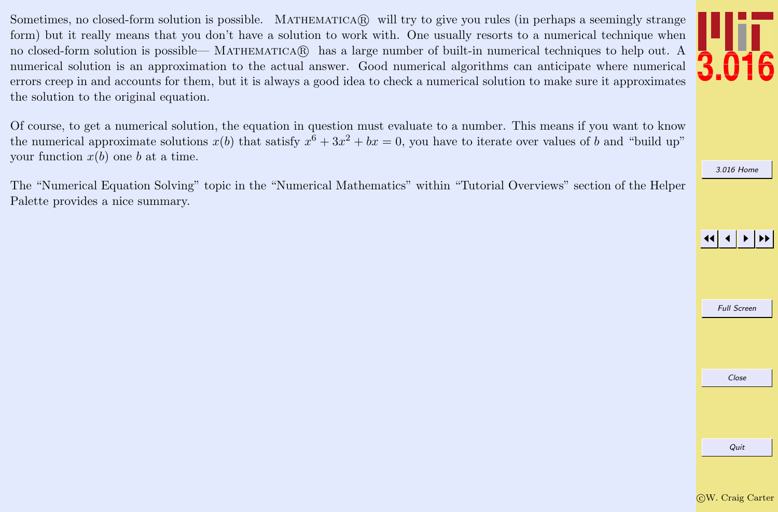Sometimes, no closed-form solution is possible. MATHEMATICAR will try to give you rules (in perhaps a seemingly strange form) but it really means that you don't have a solution to work with. One usually resorts to a numerical technique when no closed-form solution is possible— MATHEMATICAR has a large number of built-in numerical techniques to help out. A numerical solution is an approximation to the actual answer. Good numerical algorithms can anticipate where numerical errors creep in and accounts for them, but it is always a good idea to check a numerical solution to make sure it approximates the solution to the original equation.

Of course, to get a numerical solution, the equation in question must evaluate to a number. This means if you want to know the numerical approximate solutions  $x(b)$  that satisfy  $x^6 + 3x^2 + bx = 0$ , you have to iterate over values of b and "build up" your function  $x(b)$  one b at a time.

The "Numerical Equation Solving" topic in the "Numerical Mathematics" within "Tutorial Overviews" section of the Helper Palette provides a nice summary.

[3.016 Home](http://pruffle.mit.edu/3.016-2012/)

## JJ J I II



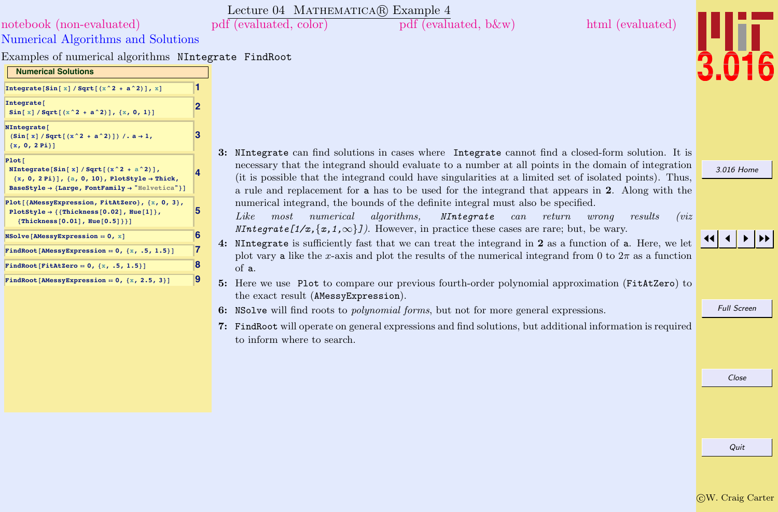Lecture 04 MATHEMATICA(R) Example 4

[notebook \(non-evaluated\)](http://pruffle.mit.edu/3.016-2012/Notebooks/L04/Lecture-04.nb) [pdf \(evaluated, color\)](http://pruffle.mit.edu/3.016-2012/pdf/L04/Lecture-04-4-COL.pdf) [pdf \(evaluated, b&w\)](http://pruffle.mit.edu/3.016-2012/pdf/L04/Lecture-04-4-BW.pdf) [html \(evaluated\)](http://pruffle.mit.edu/3.016-2012/html/Lecture-04/HTMLLinks/index_4.html)



| Integrate [Sin [x] / Sqrt [( $x^2 + a^2$ )], x]                                                                                                                                                 | 1              |                                                                                                              |
|-------------------------------------------------------------------------------------------------------------------------------------------------------------------------------------------------|----------------|--------------------------------------------------------------------------------------------------------------|
| Integrate <sup>[</sup><br>$Sin[x]/Sqrt[(x^2 + a^2)], {x, 0, 1}]$                                                                                                                                | $\overline{2}$ |                                                                                                              |
| NIntegrate[<br>$(Sin[x]/Sqrt[(x^2 + a^2)])/.a \rightarrow 1,$<br>${x, 0, 2Pi}]$                                                                                                                 | 3              |                                                                                                              |
| Plot[<br>NIntegrate[Sin[x]/Sqrt[ $(x^2 + a^2)$ ],<br>$\{x, 0, 2 Pi\}\}, \{a, 0, 10\},$ PlotStyle $\rightarrow$ Thick,<br>BaseStyle $\rightarrow$ {Large, FontFamily $\rightarrow$ "Helvetica"}] |                | 3: NIntegrate can find so<br>necessary that the inter-<br>(it is possible that the<br>a rule and replacement |
| Plot[{AMessyExpression, FitAtZero}, {x, 0, 3},<br>PlotStyle $\rightarrow$ { {Thickness [0.02], Hue [1] },<br>${Thickness[0.01], Hue[0.5]}\}$                                                    | 5              | numerical integrand, the<br>Like<br>most<br>numer<br>$NIntegrate [1/x, \{x, 1,$                              |
| $NSolve[AMessyExpression = 0, x]$                                                                                                                                                               |                |                                                                                                              |
| FindRoot[AMessyExpression == $0, \{x, .5, 1.5\}$ ]                                                                                                                                              | 7<br>8         | 4: NIntegrate is sufficien<br>plot vary a like the $x$ -a                                                    |
| FindRoot [FitAtZero = $0, {x, .5, 1.5}$ ]                                                                                                                                                       |                | of a.                                                                                                        |
| FindRoot[AMessyExpression = $0, \{x, 2.5, 3\}$ ]                                                                                                                                                | 9              | 5: Here we use Plot to c                                                                                     |

Examples of numerical algorithms NIntegrate FindRoot

Numerical Algorithms and Solutions

**[Numerical Solutions](http://pruffle.mit.edu/3.016-2012/html/Lecture-04/HTMLLinks/index_4.html)**

olutions in cases where Integrate cannot find a closed-form solution. It is egrand should evaluate to a number at all points in the domain of integration integrand could have singularities at a limited set of isolated points). Thus, t for a has to be used for the integrand that appears in 2. Along with the he bounds of the definite integral must also be specified.

 $\emph{ical}$  algorithms, NIntegrate can return wrong results (viz  $\infty$ . However, in practice these cases are rare; but, be wary.

ty fast that we can treat the integrand in  $2$  as a function of  $a$ . Here, we let extribution variety is stated integral integrand from 0 to  $2\pi$  as a function

- 5: Here we use Plot to compare our previous fourth-order polynomial approximation (FitAtZero) to the exact result (AMessyExpression).
- 6: NSolve will find roots to polynomial forms, but not for more general expressions.
- 7: FindRoot will operate on general expressions and find solutions, but additional information is required to inform where to search.

[3.016 Home](http://pruffle.mit.edu/3.016-2012/)

## JJ J I II

Full Screen

Close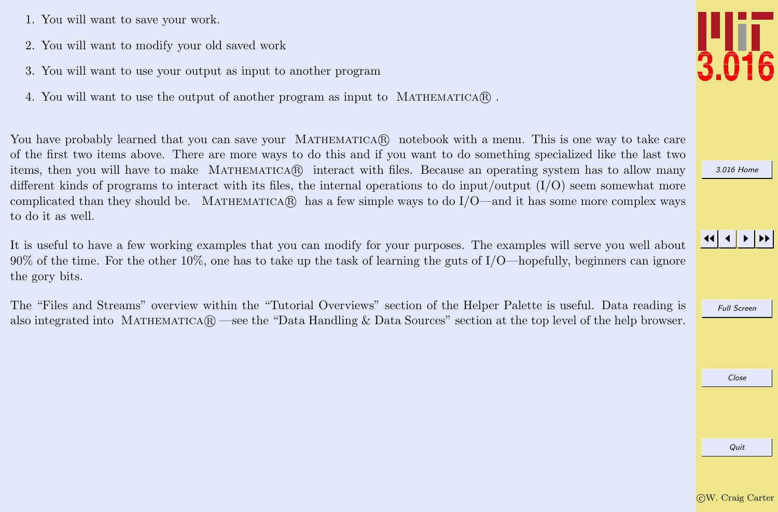- 1. You will want to save your work.
- 2. You will want to modify your old saved work
- 3. You will want to use your output as input to another program
- 4. You will want to use the output of another program as input to MATHEMATICA $\mathbb{R}$ .

You have probably learned that you can save your MATHEMATICAR notebook with a menu. This is one way to take care of the first two items above. There are more ways to do this and if you want to do something specialized like the last two items, then you will have to make MATHEMATICA(R) interact with files. Because an operating system has to allow many different kinds of programs to interact with its files, the internal operations to do input/output  $(I/O)$  seem somewhat more complicated than they should be. MATHEMATICA $\circledR$  has a few simple ways to do I/O—and it has some more complex ways to do it as well.

It is useful to have a few working examples that you can modify for your purposes. The examples will serve you well about 90% of the time. For the other 10%, one has to take up the task of learning the guts of  $I/O$ —hopefully, beginners can ignore the gory bits.

The "Files and Streams" overview within the "Tutorial Overviews" section of the Helper Palette is useful. Data reading is also integrated into MATHEMATICA $\mathbb{R}$  —see the "Data Handling & Data Sources" section at the top level of the help browser.



[3.016 Home](http://pruffle.mit.edu/3.016-2012/)

JJ J I II

Full Screen

Close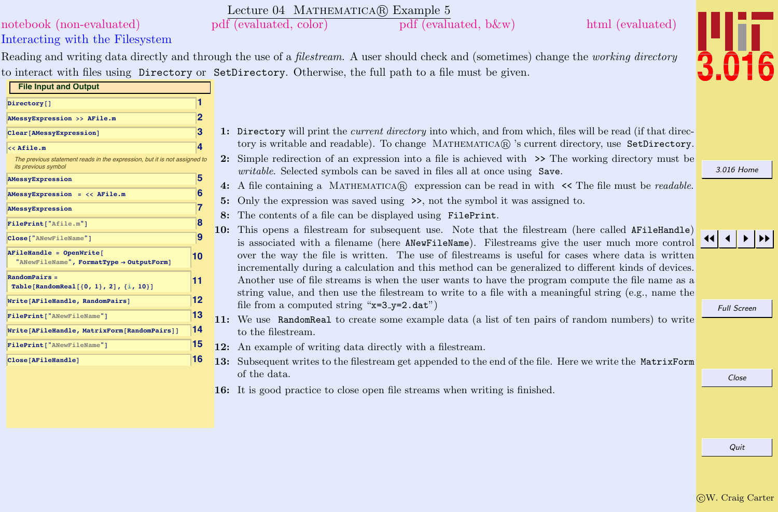### c W. Craig Carter

Quit

|                                                                                                  | Lecture 04 MATHEMATICA(R) Example 5                                                                                                                                                                        |                    |
|--------------------------------------------------------------------------------------------------|------------------------------------------------------------------------------------------------------------------------------------------------------------------------------------------------------------|--------------------|
| notebook (non-evaluated)                                                                         | $pdf$ (evaluated, b $\&w$ )<br>html (evaluated)<br>pdf (evaluated, color)                                                                                                                                  |                    |
| Interacting with the Filesystem                                                                  |                                                                                                                                                                                                            |                    |
|                                                                                                  | Reading and writing data directly and through the use of a <i>filestream</i> . A user should check and (sometimes) change the <i>working directory</i>                                                     |                    |
|                                                                                                  | to interact with files using Directory or SetDirectory. Otherwise, the full path to a file must be given.                                                                                                  |                    |
| <b>File Input and Output</b>                                                                     |                                                                                                                                                                                                            |                    |
| Directory []                                                                                     |                                                                                                                                                                                                            |                    |
| 2<br>AMessyExpression >> AFile.m                                                                 |                                                                                                                                                                                                            |                    |
| 3<br>Clear[AMessyExpression]                                                                     | 1: Directory will print the <i>current directory</i> into which, and from which, files will be read (if that direc-                                                                                        |                    |
| << Afile.m                                                                                       | tory is writable and readable). To change MATHEMATICAR 's current directory, use SetDirectory.                                                                                                             |                    |
| The previous statement reads in the expression, but it is not assigned to<br>its previous symbol | 2: Simple redirection of an expression into a file is achieved with >> The working directory must be<br>writable. Selected symbols can be saved in files all at once using Save.                           | 3.016 Home         |
| 5<br>AMessyExpression                                                                            | 4: A file containing a MATHEMATICA $\Re$ expression can be read in with $\prec$ The file must be <i>readable</i> .                                                                                         |                    |
| $AMessyExpression = \langle \langle AFile.m \rangle$                                             | Only the expression was saved using $\gg$ , not the symbol it was assigned to.<br>5:                                                                                                                       |                    |
| AMessyExpression                                                                                 | 8: The contents of a file can be displayed using FilePrint.                                                                                                                                                |                    |
| FilePrint["Afile.m"]                                                                             | This opens a filestream for subsequent use. Note that the filestream (here called AFileHandle)<br>10:                                                                                                      |                    |
| g<br>Close["ANewFileName"]                                                                       | is associated with a filename (here ANewFileName). Filestreams give the user much more control                                                                                                             |                    |
| AFileHandle = OpenWrite[<br>10<br>"ANewFileName", FormatType -> OutputForm]                      | over the way the file is written. The use of filestreams is useful for cases where data is written<br>incrementally during a calculation and this method can be generalized to different kinds of devices. |                    |
| $RandomPairs =$<br>11<br>Table [RandomReal $[0, 1), 2], \{i, 10\}$ ]                             | Another use of file streams is when the user wants to have the program compute the file name as a                                                                                                          |                    |
| 12 <br>Write[AFileHandle, RandomPairs]                                                           | string value, and then use the filestream to write to a file with a meaningful string (e.g., name the                                                                                                      |                    |
| 13<br>FilePrint ["ANewFileName"]                                                                 | file from a computed string "x=3_y=2.dat")                                                                                                                                                                 | <b>Full Screen</b> |
| 14<br>Write[AFileHandle, MatrixForm[RandomPairs]]                                                | 11: We use RandomReal to create some example data (a list of ten pairs of random numbers) to write<br>to the filestream.                                                                                   |                    |
| 15<br>FilePrint ["ANewFileName"]                                                                 | 12: An example of writing data directly with a filestream.                                                                                                                                                 |                    |
| 16<br>Close [AFileHandle]                                                                        | 13: Subsequent writes to the filestream get appended to the end of the file. Here we write the MatrixForm                                                                                                  |                    |
|                                                                                                  | of the data.                                                                                                                                                                                               | Close              |
|                                                                                                  | <b>16:</b> It is good practice to close open file streams when writing is finished.                                                                                                                        |                    |
|                                                                                                  |                                                                                                                                                                                                            |                    |
|                                                                                                  |                                                                                                                                                                                                            |                    |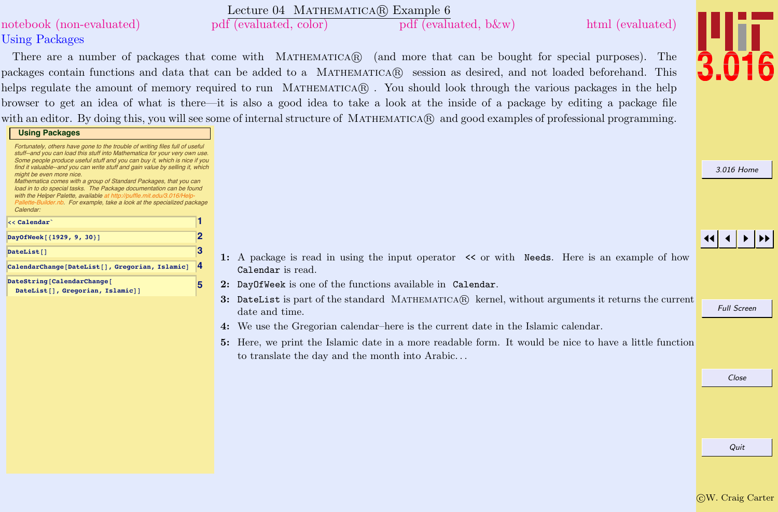|                                                                                                                                                                                        | Lecture 04 MATHEMATICA(R) Example 6                                                                                                     |                    |
|----------------------------------------------------------------------------------------------------------------------------------------------------------------------------------------|-----------------------------------------------------------------------------------------------------------------------------------------|--------------------|
| notebook (non-evaluated)                                                                                                                                                               | pdf (evaluated, color)<br>pdf (evaluated, b&w)<br>html (evaluated)                                                                      |                    |
| <b>Using Packages</b>                                                                                                                                                                  |                                                                                                                                         |                    |
|                                                                                                                                                                                        | There are a number of packages that come with MATHEMATICAR (and more that can be bought for special purposes). The                      |                    |
|                                                                                                                                                                                        | packages contain functions and data that can be added to a MATHEMATICAR session as desired, and not loaded beforehand. This             |                    |
|                                                                                                                                                                                        | helps regulate the amount of memory required to run MATHEMATICA®. You should look through the various packages in the help              |                    |
|                                                                                                                                                                                        | browser to get an idea of what is there—it is also a good idea to take a look at the inside of a package by editing a package file      |                    |
|                                                                                                                                                                                        | with an editor. By doing this, you will see some of internal structure of MATHEMATICA(R) and good examples of professional programming. |                    |
| <b>Using Packages</b>                                                                                                                                                                  |                                                                                                                                         |                    |
| Fortunately, others have gone to the trouble of writing files full of useful<br>stuff--and you can load this stuff into Mathematica for your very own use.                             |                                                                                                                                         |                    |
| Some people produce useful stuff and you can buy it, which is nice if you<br>find it valuable--and you can write stuff and gain value by selling it, which<br>might be even more nice. |                                                                                                                                         | 3.016 Home         |
| Mathematica comes with a group of Standard Packages, that you can<br>load in to do special tasks. The Package documentation can be found                                               |                                                                                                                                         |                    |
| with the Helper Palette, available at http://puffle.mit.edu/3.016/Help-<br>Pallette-Builder.nb. For example, take a look at the specialized package                                    |                                                                                                                                         |                    |
| Calendar:<br>$<<$ Calendar $\, \tilde{} \,$                                                                                                                                            |                                                                                                                                         |                    |
| 2<br>DayOfWeek [ {1929, 9, 30}]                                                                                                                                                        |                                                                                                                                         |                    |
| 3<br>DateList[]                                                                                                                                                                        |                                                                                                                                         |                    |
| CalendarChange[DateList[], Gregorian, Islamic]                                                                                                                                         | 1: A package is read in using the input operator $\prec$ or with Needs. Here is an example of how<br>Calendar is read.                  |                    |
| DateString[CalendarChange]<br>5                                                                                                                                                        | 2: DayOfWeek is one of the functions available in Calendar.                                                                             |                    |
| DateList[], Gregorian, Islamic]]                                                                                                                                                       | 3: DateList is part of the standard MATHEMATICA $\circledR$ kernel, without arguments it returns the current                            |                    |
|                                                                                                                                                                                        | date and time.                                                                                                                          | <b>Full Screen</b> |
|                                                                                                                                                                                        | 4: We use the Gregorian calendar-here is the current date in the Islamic calendar.                                                      |                    |
|                                                                                                                                                                                        | 5: Here, we print the Islamic date in a more readable form. It would be nice to have a little function                                  |                    |
|                                                                                                                                                                                        | to translate the day and the month into Arabic                                                                                          |                    |
|                                                                                                                                                                                        |                                                                                                                                         | Close              |
|                                                                                                                                                                                        |                                                                                                                                         |                    |
|                                                                                                                                                                                        |                                                                                                                                         |                    |
|                                                                                                                                                                                        |                                                                                                                                         |                    |

 $\overline{\text{C}}\text{W}$ . Craig Carter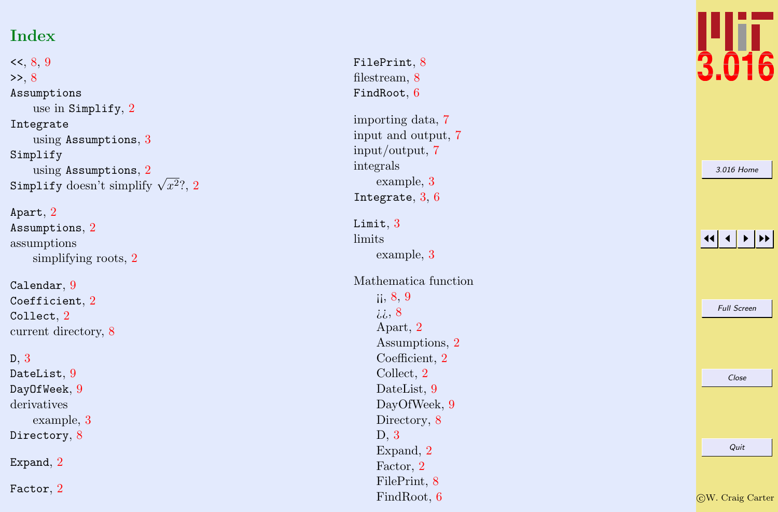# Index

 $<<, 8, 9$  $<<, 8, 9$  $<<, 8, 9$  $<<, 8, 9$  $\gg$ , [8](#page-0-0) Assumptions use in Simplify , [2](#page-0-0) Integrate using Assumptions , [3](#page-0-0) Simplify using Assumptions , [2](#page-0-0) Simplify doesn't simplify √  $x^2$  $x^2$ ?, 2

Apart , [2](#page-0-0) Assumptions , [2](#page-0-0) assumptions simplifying roots, [2](#page-0-0)

Calendar , [9](#page-0-0)  $\mathtt{Coefficient},\,2$  $\mathtt{Coefficient},\,2$  $\texttt{Collect},\,2$  $\texttt{Collect},\,2$ current directory, [8](#page-0-0)

D , [3](#page-0-0)  ${\tt DateList},\,9$  ${\tt DateList},\,9$ Day $0$ f $\mathtt{Week},\,9$  $\mathtt{Week},\,9$ derivatives example, [3](#page-0-0) Directory, [8](#page-0-0) Expand,  $2$ Factor,  $2$ 

FilePrint, [8](#page-0-0) filestream, [8](#page-0-0)  $\texttt{FindRoot},\,6$  $\texttt{FindRoot},\,6$ importing data, [7](#page-0-0) input and output, [7](#page-0-0) input/output, [7](#page-0-0) integrals example, [3](#page-0-0) Integrate,  $3, 6$  $3, 6$  $3, 6$ Limit,  $3$ limits example, [3](#page-0-0) Mathematica function ii,  $8, 9$  $8, 9$  $8, 9$ ¿¿, [8](#page-0-0) Apart, [2](#page-0-0) Assumptions, [2](#page-0-0) Coefficient, [2](#page-0-0) Collect, [2](#page-0-0) DateList, [9](#page-0-0) DayOfWeek, [9](#page-0-0) Directory, [8](#page-0-0) D, [3](#page-0-0) Expand, [2](#page-0-0) Factor, [2](#page-0-0) FilePrint, [8](#page-0-0) FindRoot, [6](#page-0-0)



| 3.016 Home         |
|--------------------|
|                    |
|                    |
|                    |
| <b>Full Screen</b> |
|                    |
| Close              |
|                    |
| Quit               |
|                    |

c W. Craig Carter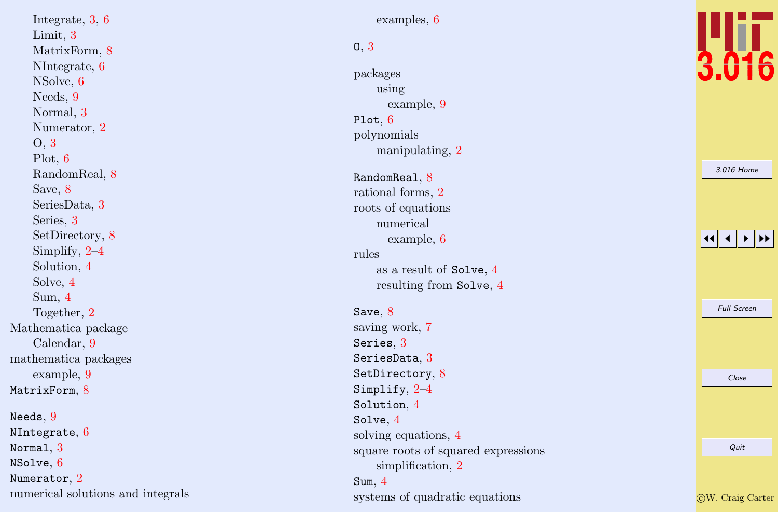Integrate, [3](#page-0-0), [6](#page-0-0) Limit, [3](#page-0-0) MatrixForm, [8](#page-0-0) NIntegrate, [6](#page-0-0) NSolve, [6](#page-0-0) Needs, [9](#page-0-0) Normal, [3](#page-0-0) Numerator, [2](#page-0-0) O, [3](#page-0-0) Plot, [6](#page-0-0) RandomReal, [8](#page-0-0) Save, [8](#page-0-0) SeriesData, [3](#page-0-0) Series, [3](#page-0-0) SetDirectory, [8](#page-0-0) Simplify, [2](#page-0-0)–[4](#page-0-0) Solution, [4](#page-0-0) Solve, [4](#page-0-0) Sum, [4](#page-0-0) Together, [2](#page-0-0) Mathematica package Calendar, [9](#page-0-0) mathematica packages example, [9](#page-0-0) MatrixForm,  $8$  $\texttt{Needs},\,9$  $\texttt{Needs},\,9$  $N$ Integrate,  $6$ Normal , [3](#page-0-0)  $\texttt{NSolve},\, 6$  $\texttt{NSolve},\, 6$ 

numerical solutions and integrals

Numerator,  $2$ 

examples, [6](#page-0-0)

### O , [3](#page-0-0)

packages using example, [9](#page-0-0) Plot,  $6$ polynomials manipulating, [2](#page-0-0)

## RandomReal,  $8$

rational forms, [2](#page-0-0) roots of equations numerical example, [6](#page-0-0) rules as a result of Solve , [4](#page-0-0) resulting from Solve , [4](#page-0-0)

 $\mathtt{Save},\, 8$  $\mathtt{Save},\, 8$ saving work, [7](#page-0-0) Series,  $3$  $\texttt{SeriesData},\, 3$  $\texttt{SeriesData},\, 3$  ${\tt SetDirectory},\, 8$  ${\tt SetDirectory},\, 8$  $\texttt{Simplify}, \, 2\text{--}4$  $\texttt{Simplify}, \, 2\text{--}4$  $\texttt{Simplify}, \, 2\text{--}4$  $\texttt{Simplify}, \, 2\text{--}4$ Solution , [4](#page-0-0)  $\texttt{Solve},\,4$  $\texttt{Solve},\,4$ solving equations, [4](#page-0-0) square roots of squared expressions simplification, [2](#page-0-0) Sum , [4](#page-0-0)

systems of quadratic equations



[3.016 Home](http://pruffle.mit.edu/3.016-2012/)

| <b>Full Screen</b> |
|--------------------|
|                    |
|                    |
| Close              |
|                    |
|                    |
| Quit               |
|                    |
|                    |

c W. Craig Carter